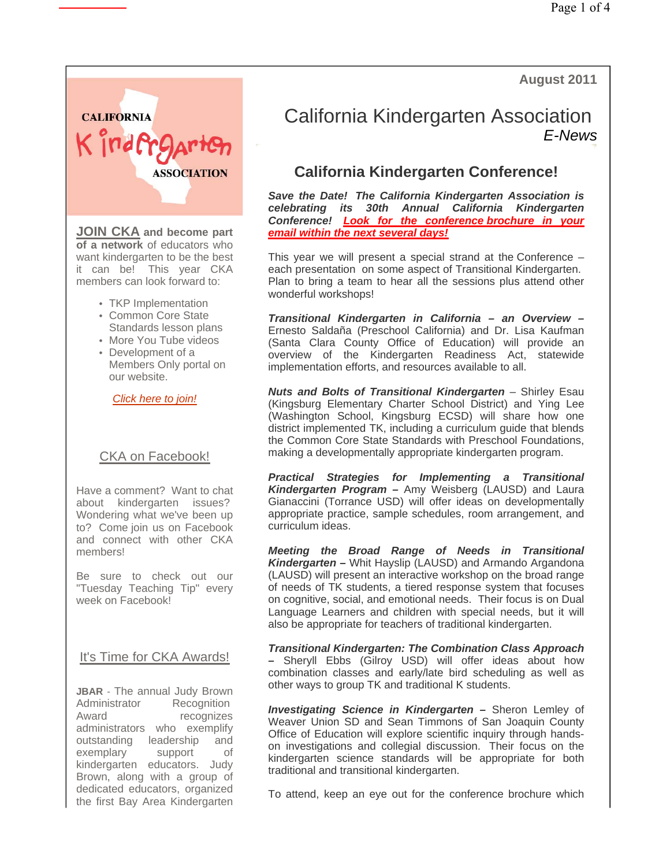**August 2011**



**JOIN CKA and become part of a network** of educators who want kindergarten to be the best it can be! This year CKA members can look forward to:

- TKP Implementation
- Common Core State Standards lesson plans
- More You Tube videos
- Development of a Members Only portal on our website.

*Click here to join!*

### CKA on Facebook!

Have a comment? Want to chat about kindergarten issues? Wondering what we've been up to? Come join us on Facebook and connect with other CKA members!

Be sure to check out our "Tuesday Teaching Tip" every week on Facebook!

It's Time for CKA Awards!

**JBAR** - The annual Judy Brown Administrator Recognition<br>Award recognizes recognizes administrators who exemplify outstanding leadership and exemplary support of kindergarten educators. Judy Brown, along with a group of dedicated educators, organized the first Bay Area Kindergarten

# California Kindergarten Association *E-News*

# **California Kindergarten Conference!**

*Save the Date! The California Kindergarten Association is celebrating its 30th Annual California Kindergarten Conference! Look for the conference brochure in your email within the next several days!* 

This year we will present a special strand at the Conference – each presentation on some aspect of Transitional Kindergarten. Plan to bring a team to hear all the sessions plus attend other wonderful workshops!

*Transitional Kindergarten in California – an Overview –*  Ernesto Saldaña (Preschool California) and Dr. Lisa Kaufman (Santa Clara County Office of Education) will provide an overview of the Kindergarten Readiness Act, statewide implementation efforts, and resources available to all.

*Nuts and Bolts of Transitional Kindergarten* – Shirley Esau (Kingsburg Elementary Charter School District) and Ying Lee (Washington School, Kingsburg ECSD) will share how one district implemented TK, including a curriculum guide that blends the Common Core State Standards with Preschool Foundations, making a developmentally appropriate kindergarten program.

*Practical Strategies for Implementing a Transitional Kindergarten Program –* Amy Weisberg (LAUSD) and Laura Gianaccini (Torrance USD) will offer ideas on developmentally appropriate practice, sample schedules, room arrangement, and curriculum ideas.

*Meeting the Broad Range of Needs in Transitional Kindergarten –* Whit Hayslip (LAUSD) and Armando Argandona (LAUSD) will present an interactive workshop on the broad range of needs of TK students, a tiered response system that focuses on cognitive, social, and emotional needs. Their focus is on Dual Language Learners and children with special needs, but it will also be appropriate for teachers of traditional kindergarten.

*Transitional Kindergarten: The Combination Class Approach –* Sheryll Ebbs (Gilroy USD) will offer ideas about how combination classes and early/late bird scheduling as well as other ways to group TK and traditional K students.

*Investigating Science in Kindergarten –* Sheron Lemley of Weaver Union SD and Sean Timmons of San Joaquin County Office of Education will explore scientific inquiry through handson investigations and collegial discussion. Their focus on the kindergarten science standards will be appropriate for both traditional and transitional kindergarten.

To attend, keep an eye out for the conference brochure which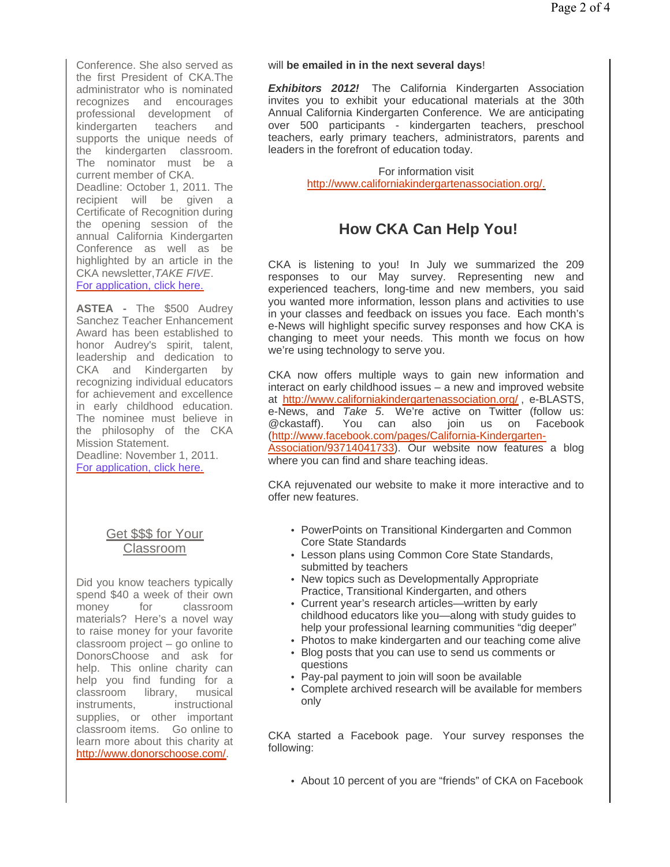Conference. She also served as the first President of CKA.The administrator who is nominated recognizes and encourages professional development of kindergarten teachers and supports the unique needs of the kindergarten classroom. The nominator must be a current member of CKA.

Deadline: October 1, 2011. The recipient will be given a Certificate of Recognition during the opening session of the annual California Kindergarten Conference as well as be highlighted by an article in the CKA newsletter,*TAKE FIVE*. For application, click here.

**ASTEA -** The \$500 Audrey Sanchez Teacher Enhancement Award has been established to honor Audrey's spirit, talent, leadership and dedication to CKA and Kindergarten by recognizing individual educators for achievement and excellence in early childhood education. The nominee must believe in the philosophy of the CKA Mission Statement. Deadline: November 1, 2011. For application, click here.

### Get \$\$\$ for Your Classroom

Did you know teachers typically spend \$40 a week of their own money for classroom materials? Here's a novel way to raise money for your favorite classroom project – go online to DonorsChoose and ask for help. This online charity can help you find funding for a classroom library, musical instruments, instructional supplies, or other important classroom items. Go online to learn more about this charity at http://www.donorschoose.com/.

#### will **be emailed in in the next several days**!

**Exhibitors 2012!** The California Kindergarten Association invites you to exhibit your educational materials at the 30th Annual California Kindergarten Conference. We are anticipating over 500 participants - kindergarten teachers, preschool teachers, early primary teachers, administrators, parents and leaders in the forefront of education today.

> For information visit http://www.californiakindergartenassociation.org/.

## **How CKA Can Help You!**

CKA is listening to you! In July we summarized the 209 responses to our May survey. Representing new and experienced teachers, long-time and new members, you said you wanted more information, lesson plans and activities to use in your classes and feedback on issues you face. Each month's e-News will highlight specific survey responses and how CKA is changing to meet your needs. This month we focus on how we're using technology to serve you.

CKA now offers multiple ways to gain new information and interact on early childhood issues – a new and improved website at http://www.californiakindergartenassociation.org/, e-BLASTS, e-News, and *Take 5*. We're active on Twitter (follow us: @ckastaff). You can also join us on Facebook (http://www.facebook.com/pages/California-Kindergarten-Association/93714041733). Our website now features a blog where you can find and share teaching ideas.

CKA rejuvenated our website to make it more interactive and to offer new features.

- PowerPoints on Transitional Kindergarten and Common Core State Standards
- Lesson plans using Common Core State Standards, submitted by teachers
- New topics such as Developmentally Appropriate Practice, Transitional Kindergarten, and others
- Current year's research articles—written by early childhood educators like you—along with study guides to help your professional learning communities "dig deeper"
- Photos to make kindergarten and our teaching come alive
- Blog posts that you can use to send us comments or questions
- Pay-pal payment to join will soon be available
- Complete archived research will be available for members only

CKA started a Facebook page. Your survey responses the following:

• About 10 percent of you are "friends" of CKA on Facebook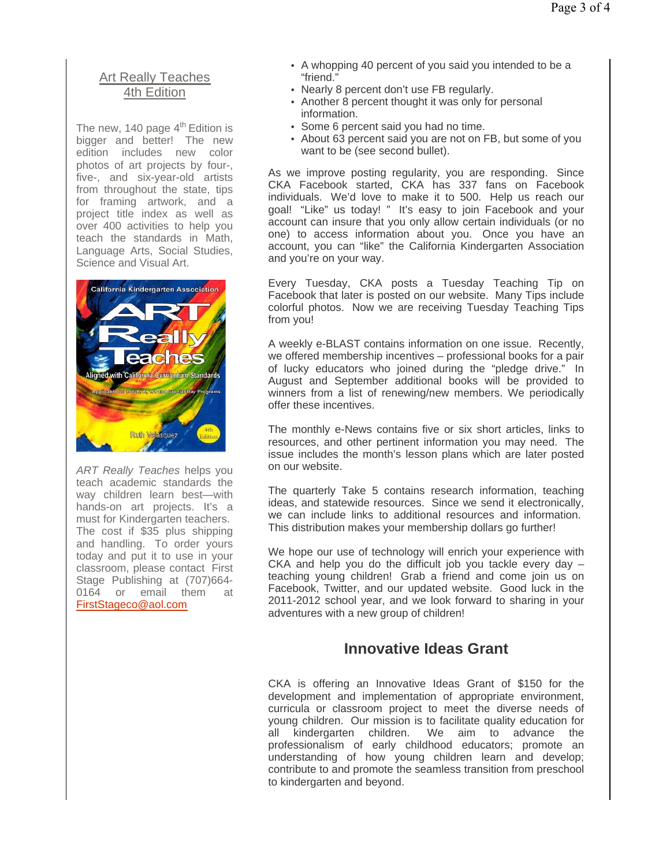### Art Really Teaches 4th Edition

The new, 140 page  $4<sup>th</sup>$  Edition is bigger and better! The new edition includes new color photos of art projects by four-, five-, and six-year-old artists from throughout the state, tips for framing artwork, and a project title index as well as over 400 activities to help you teach the standards in Math, Language Arts, Social Studies, Science and Visual Art.



*ART Really Teaches* helps you teach academic standards the way children learn best—with hands-on art projects. It's a must for Kindergarten teachers. The cost if \$35 plus shipping and handling. To order yours today and put it to use in your classroom, please contact First Stage Publishing at (707)664- 0164 or email them at FirstStageco@aol.com

- A whopping 40 percent of you said you intended to be a "friend."
- Nearly 8 percent don't use FB regularly.
- Another 8 percent thought it was only for personal information.
- Some 6 percent said you had no time.
- About 63 percent said you are not on FB, but some of you want to be (see second bullet).

As we improve posting regularity, you are responding. Since CKA Facebook started, CKA has 337 fans on Facebook individuals. We'd love to make it to 500. Help us reach our goal! "Like" us today! " It's easy to join Facebook and your account can insure that you only allow certain individuals (or no one) to access information about you. Once you have an account, you can "like" the California Kindergarten Association and you're on your way.

Every Tuesday, CKA posts a Tuesday Teaching Tip on Facebook that later is posted on our website. Many Tips include colorful photos. Now we are receiving Tuesday Teaching Tips from you!

A weekly e-BLAST contains information on one issue. Recently, we offered membership incentives – professional books for a pair of lucky educators who joined during the "pledge drive." In August and September additional books will be provided to winners from a list of renewing/new members. We periodically offer these incentives.

The monthly e-News contains five or six short articles, links to resources, and other pertinent information you may need. The issue includes the month's lesson plans which are later posted on our website.

The quarterly Take 5 contains research information, teaching ideas, and statewide resources. Since we send it electronically, we can include links to additional resources and information. This distribution makes your membership dollars go further!

We hope our use of technology will enrich your experience with CKA and help you do the difficult job you tackle every day – teaching young children! Grab a friend and come join us on Facebook, Twitter, and our updated website. Good luck in the 2011-2012 school year, and we look forward to sharing in your adventures with a new group of children!

## **Innovative Ideas Grant**

CKA is offering an Innovative Ideas Grant of \$150 for the development and implementation of appropriate environment, curricula or classroom project to meet the diverse needs of young children. Our mission is to facilitate quality education for all kindergarten children. We aim to advance the professionalism of early childhood educators; promote an understanding of how young children learn and develop; contribute to and promote the seamless transition from preschool to kindergarten and beyond.